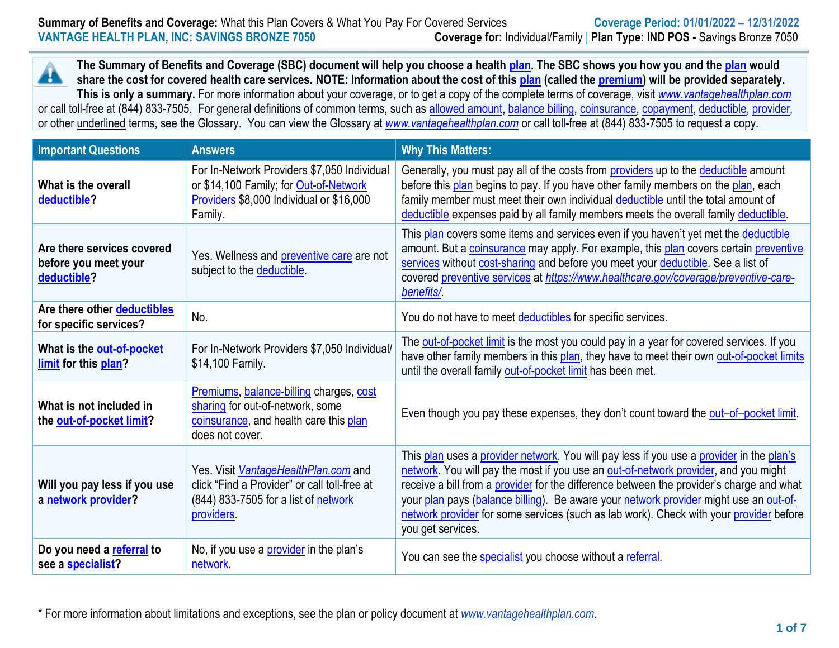**The Summary of Benefits and Coverage (SBC) document will help you choose a health [plan.](https://www.healthcare.gov/sbc-glossary/#plan) The SBC shows you how you and the [plan](https://www.healthcare.gov/sbc-glossary/#plan) would** Â **share the cost for covered health care services. NOTE: Information about the cost of this [plan](https://www.healthcare.gov/sbc-glossary/#plan) (called the [premium\)](https://www.healthcare.gov/sbc-glossary/#premium) will be provided separately. This is only a summary.** For more information about your coverage, or to get a copy of the complete terms of coverage, visit *[www.vantagehealthplan.com](http://www.vantagehealthplan.com/)* or call toll-free at (844) 833-7505. For general definitions of common terms, such as [allowed amount,](https://www.healthcare.gov/sbc-glossary/#allowed-amount) [balance billing,](https://www.healthcare.gov/sbc-glossary/#balance-billing) [coinsurance,](https://www.healthcare.gov/sbc-glossary/#coinsurance) [copayment,](https://www.healthcare.gov/sbc-glossary/#copayment) [deductible,](https://www.healthcare.gov/sbc-glossary/#deductible) [provider,](https://www.healthcare.gov/sbc-glossary/#provider) or other underlined terms, see the Glossary. You can view the Glossary at *[www.vantagehealthplan.com](http://www.vantagehealthplan.com/)* or call toll-free at (844) 833-7505 to request a copy.

| <b>Important Questions</b>                                        | <b>Answers</b>                                                                                                                               | <b>Why This Matters:</b>                                                                                                                                                                                                                                                                                                                                                                                                                                                            |
|-------------------------------------------------------------------|----------------------------------------------------------------------------------------------------------------------------------------------|-------------------------------------------------------------------------------------------------------------------------------------------------------------------------------------------------------------------------------------------------------------------------------------------------------------------------------------------------------------------------------------------------------------------------------------------------------------------------------------|
| What is the overall<br>deductible?                                | For In-Network Providers \$7,050 Individual<br>or \$14,100 Family; for Out-of-Network<br>Providers \$8,000 Individual or \$16,000<br>Family. | Generally, you must pay all of the costs from <b>providers</b> up to the deductible amount<br>before this plan begins to pay. If you have other family members on the plan, each<br>family member must meet their own individual deductible until the total amount of<br>deductible expenses paid by all family members meets the overall family deductible.                                                                                                                        |
| Are there services covered<br>before you meet your<br>deductible? | Yes. Wellness and preventive care are not<br>subject to the deductible.                                                                      | This plan covers some items and services even if you haven't yet met the deductible<br>amount. But a coinsurance may apply. For example, this plan covers certain preventive<br>services without cost-sharing and before you meet your deductible. See a list of<br>covered preventive services at https://www.healthcare.gov/coverage/preventive-care-<br>benefits/                                                                                                                |
| Are there other deductibles<br>for specific services?             | No.                                                                                                                                          | You do not have to meet deductibles for specific services.                                                                                                                                                                                                                                                                                                                                                                                                                          |
| What is the out-of-pocket<br>limit for this plan?                 | For In-Network Providers \$7,050 Individual/<br>\$14,100 Family.                                                                             | The out-of-pocket limit is the most you could pay in a year for covered services. If you<br>have other family members in this plan, they have to meet their own out-of-pocket limits<br>until the overall family out-of-pocket limit has been met.                                                                                                                                                                                                                                  |
| What is not included in<br>the out-of-pocket limit?               | Premiums, balance-billing charges, cost<br>sharing for out-of-network, some<br>coinsurance, and health care this plan<br>does not cover.     | Even though you pay these expenses, they don't count toward the out-of-pocket limit.                                                                                                                                                                                                                                                                                                                                                                                                |
| Will you pay less if you use<br>a network provider?               | Yes. Visit VantageHealthPlan.com and<br>click "Find a Provider" or call toll-free at<br>(844) 833-7505 for a list of network<br>providers.   | This plan uses a provider network. You will pay less if you use a provider in the plan's<br>network. You will pay the most if you use an out-of-network provider, and you might<br>receive a bill from a provider for the difference between the provider's charge and what<br>your plan pays (balance billing). Be aware your network provider might use an out-of-<br>network provider for some services (such as lab work). Check with your provider before<br>you get services. |
| Do you need a referral to<br>see a <b>specialist?</b>             | No, if you use a <i>provider</i> in the plan's<br>network.                                                                                   | You can see the specialist you choose without a referral.                                                                                                                                                                                                                                                                                                                                                                                                                           |

\* For more information about limitations and exceptions, see the plan or policy document at *www.vantagehealthplan.com*.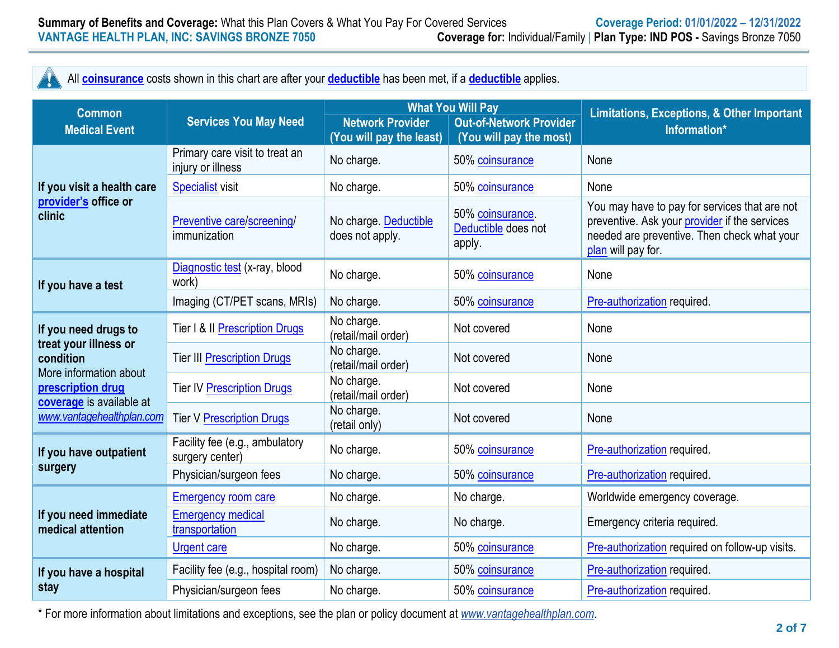# All **[coinsurance](https://www.healthcare.gov/sbc-glossary/#coinsurance)** costs shown in this chart are after your **[deductible](https://www.healthcare.gov/sbc-glossary/#deductible)** has been met, if a **[deductible](https://www.healthcare.gov/sbc-glossary/#deductible)** applies.

Ţ

| <b>Common</b>                                                                                                                                                      | <b>Services You May Need</b>                        |                                                     | <b>What You Will Pay</b>                                  | <b>Limitations, Exceptions, &amp; Other Important</b>                                                                                                               |  |
|--------------------------------------------------------------------------------------------------------------------------------------------------------------------|-----------------------------------------------------|-----------------------------------------------------|-----------------------------------------------------------|---------------------------------------------------------------------------------------------------------------------------------------------------------------------|--|
| <b>Medical Event</b>                                                                                                                                               |                                                     | <b>Network Provider</b><br>(You will pay the least) | <b>Out-of-Network Provider</b><br>(You will pay the most) | Information*                                                                                                                                                        |  |
| If you visit a health care<br>provider's office or<br>clinic                                                                                                       | Primary care visit to treat an<br>injury or illness | No charge.                                          | 50% coinsurance                                           | None                                                                                                                                                                |  |
|                                                                                                                                                                    | <b>Specialist visit</b>                             | No charge.                                          | 50% coinsurance                                           | None                                                                                                                                                                |  |
|                                                                                                                                                                    | Preventive care/screening/<br>immunization          | No charge. Deductible<br>does not apply.            | 50% coinsurance.<br>Deductible does not<br>apply.         | You may have to pay for services that are not<br>preventive. Ask your provider if the services<br>needed are preventive. Then check what your<br>plan will pay for. |  |
| If you have a test                                                                                                                                                 | Diagnostic test (x-ray, blood<br>work)              | No charge.                                          | 50% coinsurance                                           | None                                                                                                                                                                |  |
|                                                                                                                                                                    | Imaging (CT/PET scans, MRIs)                        | No charge.                                          | 50% coinsurance                                           | Pre-authorization required.                                                                                                                                         |  |
| If you need drugs to<br>treat your illness or<br>condition<br>More information about<br>prescription drug<br>coverage is available at<br>www.vantagehealthplan.com | Tier I & II Prescription Drugs                      | No charge.<br>(retail/mail order)                   | Not covered                                               | None                                                                                                                                                                |  |
|                                                                                                                                                                    | <b>Tier III Prescription Drugs</b>                  | No charge.<br>(retail/mail order)                   | Not covered                                               | None                                                                                                                                                                |  |
|                                                                                                                                                                    | <b>Tier IV Prescription Drugs</b>                   | No charge.<br>(retail/mail order)                   | Not covered                                               | None                                                                                                                                                                |  |
|                                                                                                                                                                    | <b>Tier V Prescription Drugs</b>                    | No charge.<br>(retail only)                         | Not covered                                               | None                                                                                                                                                                |  |
| If you have outpatient<br>surgery                                                                                                                                  | Facility fee (e.g., ambulatory<br>surgery center)   | No charge.                                          | 50% coinsurance                                           | Pre-authorization required.                                                                                                                                         |  |
|                                                                                                                                                                    | Physician/surgeon fees                              | No charge.                                          | 50% coinsurance                                           | Pre-authorization required.                                                                                                                                         |  |
| If you need immediate<br>medical attention                                                                                                                         | <b>Emergency room care</b>                          | No charge.                                          | No charge.                                                | Worldwide emergency coverage.                                                                                                                                       |  |
|                                                                                                                                                                    | <b>Emergency medical</b><br>transportation          | No charge.                                          | No charge.                                                | Emergency criteria required.                                                                                                                                        |  |
|                                                                                                                                                                    | <b>Urgent care</b>                                  | No charge.                                          | 50% coinsurance                                           | Pre-authorization required on follow-up visits.                                                                                                                     |  |
| If you have a hospital<br>stay                                                                                                                                     | Facility fee (e.g., hospital room)                  | No charge.                                          | 50% coinsurance                                           | Pre-authorization required.                                                                                                                                         |  |
|                                                                                                                                                                    | Physician/surgeon fees                              | No charge.                                          | 50% coinsurance                                           | Pre-authorization required.                                                                                                                                         |  |

\* For more information about limitations and exceptions, see the plan or policy document at *www.vantagehealthplan.com*.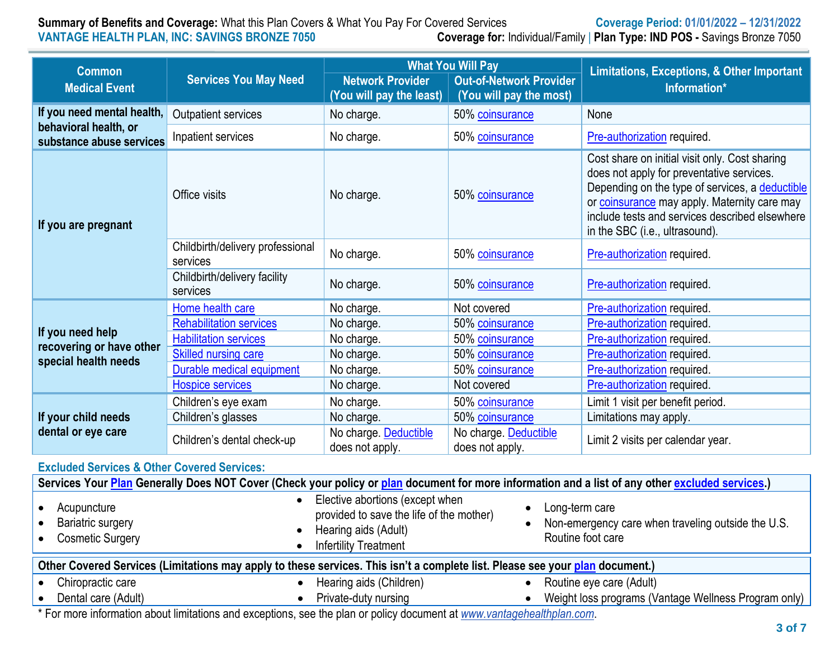# **Summary of Benefits and Coverage:** What this Plan Covers & What You Pay For Covered Services **Coverage Period: 01/01/2022 – 12/31/2022**<br>**Coverage for:** lndividual/Family | Plan Type: IND POS - Savings Bronze 7050 **Coverage for: Individual/Family | Plan Type: IND POS - Savings Bronze 7050**

| <b>Common</b>                                                                   | <b>Services You May Need</b>                 | <b>What You Will Pay</b>                            |                                                           | Limitations, Exceptions, & Other Important                                                                                                                                                                                                                                         |  |
|---------------------------------------------------------------------------------|----------------------------------------------|-----------------------------------------------------|-----------------------------------------------------------|------------------------------------------------------------------------------------------------------------------------------------------------------------------------------------------------------------------------------------------------------------------------------------|--|
| <b>Medical Event</b>                                                            |                                              | <b>Network Provider</b><br>(You will pay the least) | <b>Out-of-Network Provider</b><br>(You will pay the most) | Information*                                                                                                                                                                                                                                                                       |  |
| If you need mental health,<br>behavioral health, or<br>substance abuse services | Outpatient services                          | No charge.                                          | 50% coinsurance                                           | None                                                                                                                                                                                                                                                                               |  |
|                                                                                 | Inpatient services                           | No charge.                                          | 50% coinsurance                                           | Pre-authorization required.                                                                                                                                                                                                                                                        |  |
| If you are pregnant                                                             | Office visits                                | No charge.                                          | 50% coinsurance                                           | Cost share on initial visit only. Cost sharing<br>does not apply for preventative services.<br>Depending on the type of services, a deductible<br>or coinsurance may apply. Maternity care may<br>include tests and services described elsewhere<br>in the SBC (i.e., ultrasound). |  |
|                                                                                 | Childbirth/delivery professional<br>services | No charge.                                          | 50% coinsurance                                           | Pre-authorization required.                                                                                                                                                                                                                                                        |  |
|                                                                                 | Childbirth/delivery facility<br>services     | No charge.                                          | 50% coinsurance                                           | Pre-authorization required.                                                                                                                                                                                                                                                        |  |
| If you need help<br>recovering or have other<br>special health needs            | Home health care                             | No charge.                                          | Not covered                                               | Pre-authorization required.                                                                                                                                                                                                                                                        |  |
|                                                                                 | <b>Rehabilitation services</b>               | No charge.                                          | 50% coinsurance                                           | Pre-authorization required.                                                                                                                                                                                                                                                        |  |
|                                                                                 | <b>Habilitation services</b>                 | No charge.                                          | 50% coinsurance                                           | Pre-authorization required.                                                                                                                                                                                                                                                        |  |
|                                                                                 | Skilled nursing care                         | No charge.                                          | 50% coinsurance                                           | Pre-authorization required.                                                                                                                                                                                                                                                        |  |
|                                                                                 | Durable medical equipment                    | No charge.                                          | 50% coinsurance                                           | Pre-authorization required.                                                                                                                                                                                                                                                        |  |
|                                                                                 | <b>Hospice services</b>                      | No charge.                                          | Not covered                                               | Pre-authorization required.                                                                                                                                                                                                                                                        |  |
| If your child needs<br>dental or eye care                                       | Children's eye exam                          | No charge.                                          | 50% coinsurance                                           | Limit 1 visit per benefit period.                                                                                                                                                                                                                                                  |  |
|                                                                                 | Children's glasses                           | No charge.                                          | 50% coinsurance                                           | Limitations may apply.                                                                                                                                                                                                                                                             |  |
|                                                                                 | Children's dental check-up                   | No charge. Deductible<br>does not apply.            | No charge. Deductible<br>does not apply.                  | Limit 2 visits per calendar year.                                                                                                                                                                                                                                                  |  |

#### **Excluded Services & Other Covered Services:**

| Services Your Plan Generally Does NOT Cover (Check your policy or plan document for more information and a list of any other excluded services.) |                                                                                                                                     |                                                                                           |  |  |  |
|--------------------------------------------------------------------------------------------------------------------------------------------------|-------------------------------------------------------------------------------------------------------------------------------------|-------------------------------------------------------------------------------------------|--|--|--|
| Acupuncture<br><b>Bariatric surgery</b><br><b>Cosmetic Surgery</b>                                                                               | Elective abortions (except when<br>provided to save the life of the mother)<br>Hearing aids (Adult)<br><b>Infertility Treatment</b> | Long-term care<br>Non-emergency care when traveling outside the U.S.<br>Routine foot care |  |  |  |
| Other Covered Services (Limitations may apply to these services. This isn't a complete list. Please see your plan document.)                     |                                                                                                                                     |                                                                                           |  |  |  |
| Chiropractic care                                                                                                                                | Hearing aids (Children)                                                                                                             | Routine eye care (Adult)                                                                  |  |  |  |
| Dental care (Adult)                                                                                                                              | Private-duty nursing                                                                                                                | Weight loss programs (Vantage Wellness Program only)                                      |  |  |  |
| ∦ Formon: beformation about Bacterians and consistence are the plan consiliands consistent at community of collection are as                     |                                                                                                                                     |                                                                                           |  |  |  |

\* For more information about limitations and exceptions, see the plan or policy document at *www.vantagehealthplan.com*.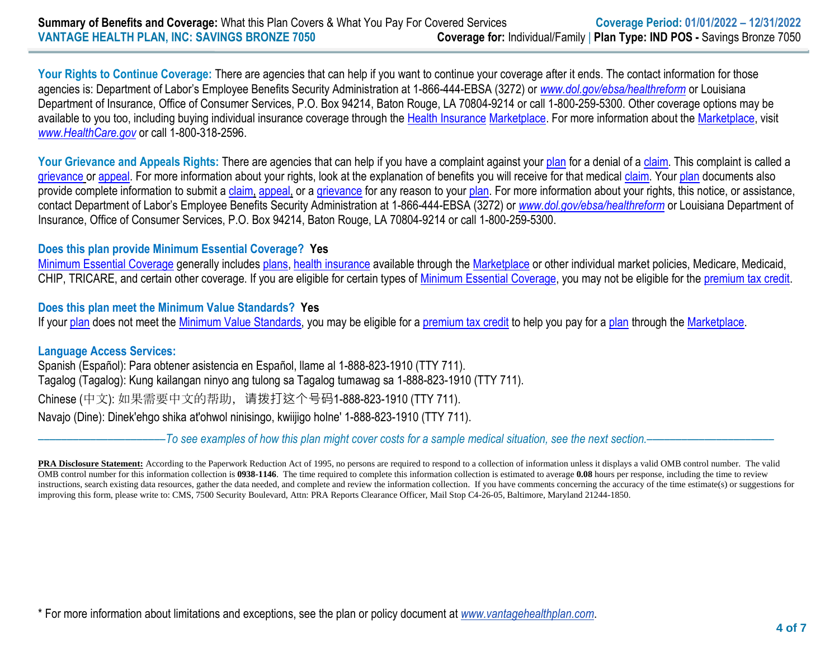Your Rights to Continue Coverage: There are agencies that can help if you want to continue your coverage after it ends. The contact information for those agencies is: Department of Labor's Employee Benefits Security Administration at 1-866-444-EBSA (3272) or *[www.dol.gov/ebsa/healthreform](http://www.dol.gov/ebsa/healthreform)* or Louisiana Department of Insurance, Office of Consumer Services, P.O. Box 94214, Baton Rouge, LA 70804-9214 or call 1-800-259-5300. Other coverage options may be available to you too, including buying individual insurance coverage through the [Health Insurance](https://healthcare.gov/sbc-glossary/#health-insurance) [Marketplace.](https://www.healthcare.gov/sbc-glossary/#marketplace) For more information about th[e Marketplace,](https://www.healthcare.gov/sbc-glossary/#marketplace) visit *[www.HealthCare.gov](http://www.healthcare.gov/)* or call 1-800-318-2596.

Your Grievance and Appeals Rights: There are agencies that can help if you have a complaint against you[r plan](https://www.healthcare.gov/sbc-glossary/#plan) for a denial of [a claim.](https://www.healthcare.gov/sbc-glossary/#claim) This complaint is called a [grievance](https://www.healthcare.gov/sbc-glossary/#grievance) or [appeal.](https://www.healthcare.gov/sbc-glossary/#appeal) For more information about your rights, look at the explanation of benefits you will receive for that medica[l claim.](https://www.healthcare.gov/sbc-glossary/#claim) You[r plan](https://www.healthcare.gov/sbc-glossary/#plan) documents also provide complete information to submit a [claim,](https://www.healthcare.gov/sbc-glossary/#claim) [appeal,](https://www.healthcare.gov/sbc-glossary/#appeal) or a [grievance](https://www.healthcare.gov/sbc-glossary/#grievance) for any reason to your [plan.](https://www.healthcare.gov/sbc-glossary/#plan) For more information about your rights, this notice, or assistance, contact Department of Labor's Employee Benefits Security Administration at 1-866-444-EBSA (3272) or *[www.dol.gov/ebsa/healthreform](http://www.dol.gov/ebsa/healthreform)* or Louisiana Department of Insurance, Office of Consumer Services, P.O. Box 94214, Baton Rouge, LA 70804-9214 or call 1-800-259-5300.

### **Does this plan provide Minimum Essential Coverage? Yes**

[Minimum Essential Coverage](https://www.healthcare.gov/sbc-glossary/#minimum-essential-coverage) generally includes [plans,](https://www.healthcare.gov/sbc-glossary/#plan) [health insurance](https://www.healthcare.gov/sbc-glossary/#health-insurance) available through the [Marketplace](https://www.healthcare.gov/sbc-glossary/#marketplace) or other individual market policies, Medicare, Medicaid, CHIP, TRICARE, and certain other coverage. If you are eligible for certain types of [Minimum Essential Coverage,](https://www.healthcare.gov/sbc-glossary/#minimum-essential-coverage) you may not be eligible for the [premium tax credit.](https://www.healthcare.gov/sbc-glossary/#premium-tax-credits)

## **Does this plan meet the Minimum Value Standards? Yes**

If your [plan](https://www.healthcare.gov/sbc-glossary/#plan) does not meet the [Minimum Value](https://www.healthcare.gov/sbc-glossary/#minimum-value-standard) Standards, you may be eligible for a [premium tax credit](https://www.healthcare.gov/sbc-glossary/#premium-tax-credits) to help you pay for a plan through th[e Marketplace.](https://www.healthcare.gov/sbc-glossary/#marketplace)

### **Language Access Services:**

Spanish (Español): Para obtener asistencia en Español, llame al 1-888-823-1910 (TTY 711). Tagalog (Tagalog): Kung kailangan ninyo ang tulong sa Tagalog tumawag sa 1-888-823-1910 (TTY 711). Chinese (中文): 如果需要中文的帮助,请拨打这个号码1-888-823-1910 (TTY 711). Navajo (Dine): Dinek'ehgo shika at'ohwol ninisingo, kwiijigo holne' 1-888-823-1910 (TTY 711).

––––––––––––––––––––––*To see examples of how this plan might cover costs for a sample medical situation, see the next section.–––––––––––*–––––––––––

**PRA Disclosure Statement:** According to the Paperwork Reduction Act of 1995, no persons are required to respond to a collection of information unless it displays a valid OMB control number. The valid OMB control number for this information collection is **0938-1146**. The time required to complete this information collection is estimated to average **0.08** hours per response, including the time to review instructions, search existing data resources, gather the data needed, and complete and review the information collection. If you have comments concerning the accuracy of the time estimate(s) or suggestions for improving this form, please write to: CMS, 7500 Security Boulevard, Attn: PRA Reports Clearance Officer, Mail Stop C4-26-05, Baltimore, Maryland 21244-1850.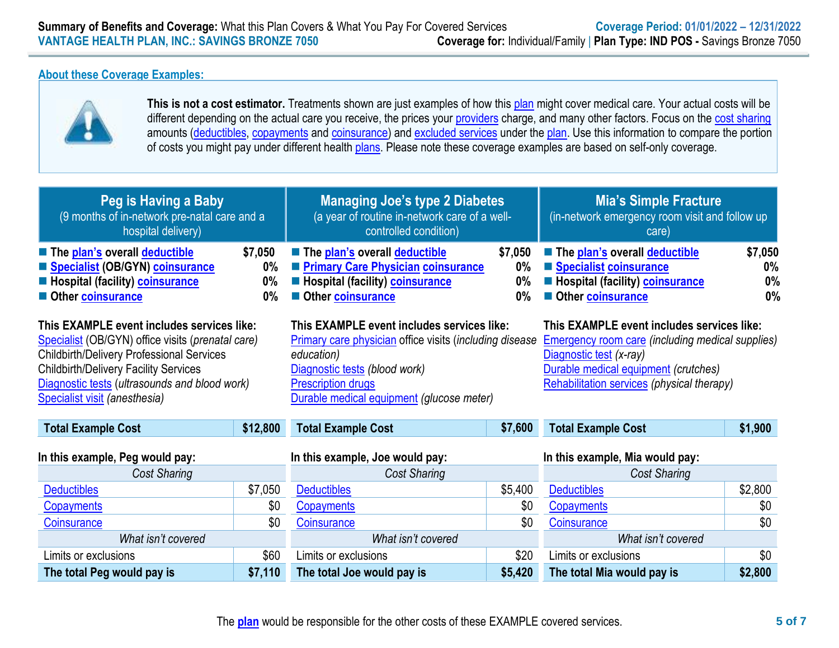#### **About these Coverage Examples:**

**The total Peg would pay is \$7,110**



**This is not a cost estimator.** Treatments shown are just examples of how this [plan](https://www.healthcare.gov/sbc-glossary/#plan) might cover medical care. Your actual costs will be different depending on the actual care you receive, the prices your [providers](https://www.healthcare.gov/sbc-glossary/#provider) charge, and many other factors. Focus on the [cost sharing](https://www.healthcare.gov/sbc-glossary/#cost-sharing) amounts [\(deductibles,](https://www.healthcare.gov/sbc-glossary/#deductible) [copayments](https://www.healthcare.gov/sbc-glossary/#copayment) and [coinsurance\)](https://www.healthcare.gov/sbc-glossary/#coinsurance) and [excluded services](https://www.healthcare.gov/sbc-glossary/#excluded-services) under the [plan.](https://www.healthcare.gov/sbc-glossary/#plan) Use this information to compare the portion of costs you might pay under different health [plans.](https://www.healthcare.gov/sbc-glossary/#plan) Please note these coverage examples are based on self-only coverage.

| Peg is Having a Baby<br>(9 months of in-network pre-natal care and a<br>hospital delivery)                                                                                                                                                                                            |                                    | <b>Managing Joe's type 2 Diabetes</b><br>(a year of routine in-network care of a well-<br>controlled condition)                                                                                                                       |                                    | <b>Mia's Simple Fracture</b><br>(in-network emergency room visit and follow up<br>care)                                                                                                                                |                              |
|---------------------------------------------------------------------------------------------------------------------------------------------------------------------------------------------------------------------------------------------------------------------------------------|------------------------------------|---------------------------------------------------------------------------------------------------------------------------------------------------------------------------------------------------------------------------------------|------------------------------------|------------------------------------------------------------------------------------------------------------------------------------------------------------------------------------------------------------------------|------------------------------|
| The plan's overall deductible<br>Specialist (OB/GYN) coinsurance<br><b>E</b> Hospital (facility) coinsurance<br>Other coinsurance                                                                                                                                                     | \$7,050<br>$0\%$<br>$0\%$<br>$0\%$ | The plan's overall deductible<br>Primary Care Physician coinsurance<br><b>E</b> Hospital (facility) <b>coinsurance</b><br>Other coinsurance                                                                                           | \$7,050<br>$0\%$<br>$0\%$<br>$0\%$ | The plan's overall deductible<br>Specialist coinsurance<br><b>E</b> Hospital (facility) <b>coinsurance</b><br>Other coinsurance                                                                                        | \$7,050<br>$0\%$<br>0%<br>0% |
| This EXAMPLE event includes services like:<br>Specialist (OB/GYN) office visits (prenatal care)<br><b>Childbirth/Delivery Professional Services</b><br><b>Childbirth/Delivery Facility Services</b><br>Diagnostic tests (ultrasounds and blood work)<br>Specialist visit (anesthesia) |                                    | This EXAMPLE event includes services like:<br><b>Primary care physician office visits (including disease</b><br>education)<br>Diagnostic tests (blood work)<br><b>Prescription drugs</b><br>Durable medical equipment (glucose meter) |                                    | This EXAMPLE event includes services like:<br><b>Emergency room care (including medical supplies)</b><br>Diagnostic test (x-ray)<br>Durable medical equipment (crutches)<br>Rehabilitation services (physical therapy) |                              |
| <b>Total Example Cost</b>                                                                                                                                                                                                                                                             | \$12,800                           | <b>Total Example Cost</b>                                                                                                                                                                                                             | \$7,600                            | <b>Total Example Cost</b>                                                                                                                                                                                              | \$1,900                      |
| In this example, Peg would pay:                                                                                                                                                                                                                                                       |                                    | In this example, Joe would pay:                                                                                                                                                                                                       |                                    | In this example, Mia would pay:                                                                                                                                                                                        |                              |
| Cost Sharing                                                                                                                                                                                                                                                                          |                                    | Cost Sharing                                                                                                                                                                                                                          |                                    | <b>Cost Sharing</b>                                                                                                                                                                                                    |                              |
| <b>Deductibles</b>                                                                                                                                                                                                                                                                    | \$7,050                            | <b>Deductibles</b>                                                                                                                                                                                                                    | \$5,400                            | <b>Deductibles</b>                                                                                                                                                                                                     | \$2,800                      |
| Copayments                                                                                                                                                                                                                                                                            | \$0                                | Copayments                                                                                                                                                                                                                            | \$0                                | Copayments                                                                                                                                                                                                             | \$0                          |
| <b>Coinsurance</b>                                                                                                                                                                                                                                                                    | \$0                                | Coinsurance                                                                                                                                                                                                                           | \$0                                | Coinsurance                                                                                                                                                                                                            | \$0                          |
| What isn't covered                                                                                                                                                                                                                                                                    |                                    | What isn't covered                                                                                                                                                                                                                    |                                    | What isn't covered                                                                                                                                                                                                     |                              |
| Limits or exclusions                                                                                                                                                                                                                                                                  | \$60                               | Limits or exclusions                                                                                                                                                                                                                  | \$20                               | Limits or exclusions                                                                                                                                                                                                   | \$0                          |

**The total Joe would pay is \$5,420**

**The total Mia would pay is \$2,800**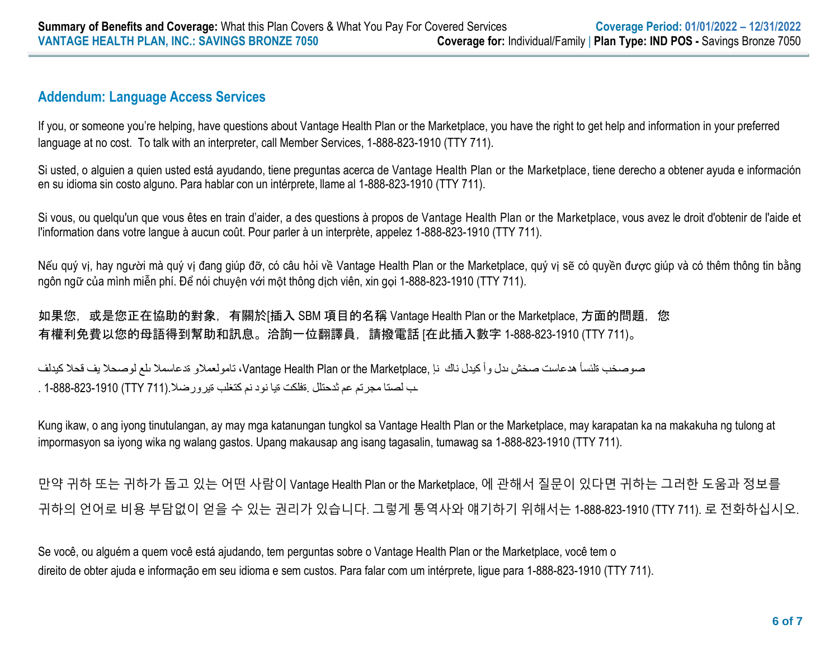# **Addendum: Language Access Services**

If you, or someone you're helping, have questions about Vantage Health Plan or the Marketplace, you have the right to get help and information in your preferred language at no cost. To talk with an interpreter, call Member Services, 1-888-823-1910 (TTY 711).

Si usted, o alguien a quien usted está ayudando, tiene preguntas acerca de Vantage Health Plan or the Marketplace, tiene derecho a obtener ayuda e información en su idioma sin costo alguno. Para hablar con un intérprete, llame al 1-888-823-1910 (TTY 711).

Si vous, ou quelqu'un que vous êtes en train d'aider, a des questions à propos de Vantage Health Plan or the Marketplace, vous avez le droit d'obtenir de l'aide et l'information dans votre langue à aucun coût. Pour parler à un interprète, appelez 1-888-823-1910 (TTY 711).

Nếu quý vị, hay người mà quý vị đang giúp đỡ, có câu hỏi về Vantage Health Plan or the Marketplace, quý vị sẽ có quyền được giúp và có thêm thông tin bằng ngôn ngữ của mình miễn phí. Để nói chuyện với một thông dịch viên, xin gọi 1-888-823-1910 (TTY 711).

如果您,或是您正在協助的對象,有關於[插入 SBM 項目的名稱 Vantage Health Plan or the Marketplace, 方面的問題,您 有權利免費以您的母語得到幫助和訊息。洽詢一位翻譯員,請撥電話 [在此插入數字 1-888-823-1910 (TTY 711)。

صوصخب ةلئسأ هدعاست صخش ىدل وأ كيدل ناك نإ ,Marketplace the or Plan Health Vantage، تامولعمالو ةدعاسمال ىلع لوصحال يف قحال كيدلف ـب لصتا مجرتم عم ثدحتلل .ةفلكت ةيا نود نم كتغلب ةيرورضال.(711 TTY (1-888-823-1910 .

Kung ikaw, o ang iyong tinutulangan, ay may mga katanungan tungkol sa Vantage Health Plan or the Marketplace, may karapatan ka na makakuha ng tulong at impormasyon sa iyong wika ng walang gastos. Upang makausap ang isang tagasalin, tumawag sa 1-888-823-1910 (TTY 711).

만약 귀하 또는 귀하가 돕고 있는 어떤 사람이 Vantage Health Plan or the Marketplace, 에 관해서 질문이 있다면 귀하는 그러한 도움과 정보를 귀하의 언어로 비용 부담없이 얻을 수 있는 권리가 있습니다. 그렇게 통역사와 얘기하기 위해서는 1-888-823-1910 (TTY 711). 로 전화하십시오.

Se você, ou alguém a quem você está ajudando, tem perguntas sobre o Vantage Health Plan or the Marketplace, você tem o direito de obter ajuda e informação em seu idioma e sem custos. Para falar com um intérprete, ligue para 1-888-823-1910 (TTY 711).